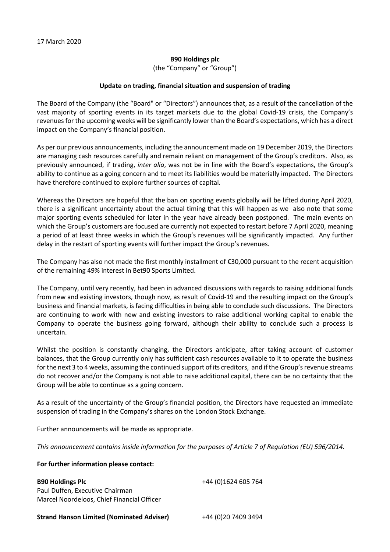## **B90 Holdings plc**

(the "Company" or "Group")

## **Update on trading, financial situation and suspension of trading**

The Board of the Company (the "Board" or "Directors") announces that, as a result of the cancellation of the vast majority of sporting events in its target markets due to the global Covid-19 crisis, the Company's revenues for the upcoming weeks will be significantly lower than the Board's expectations, which has a direct impact on the Company's financial position.

As per our previous announcements, including the announcement made on 19 December 2019, the Directors are managing cash resources carefully and remain reliant on management of the Group's creditors. Also, as previously announced, if trading, *inter alia*, was not be in line with the Board's expectations, the Group's ability to continue as a going concern and to meet its liabilities would be materially impacted. The Directors have therefore continued to explore further sources of capital.

Whereas the Directors are hopeful that the ban on sporting events globally will be lifted during April 2020, there is a significant uncertainty about the actual timing that this will happen as we also note that some major sporting events scheduled for later in the year have already been postponed. The main events on which the Group's customers are focused are currently not expected to restart before 7 April 2020, meaning a period of at least three weeks in which the Group's revenues will be significantly impacted. Any further delay in the restart of sporting events will further impact the Group's revenues.

The Company has also not made the first monthly installment of €30,000 pursuant to the recent acquisition of the remaining 49% interest in Bet90 Sports Limited.

The Company, until very recently, had been in advanced discussions with regards to raising additional funds from new and existing investors, though now, as result of Covid-19 and the resulting impact on the Group's business and financial markets, is facing difficulties in being able to conclude such discussions. The Directors are continuing to work with new and existing investors to raise additional working capital to enable the Company to operate the business going forward, although their ability to conclude such a process is uncertain.

Whilst the position is constantly changing, the Directors anticipate, after taking account of customer balances, that the Group currently only has sufficient cash resources available to it to operate the business for the next 3 to 4 weeks, assuming the continued support of its creditors, and if the Group's revenue streams do not recover and/or the Company is not able to raise additional capital, there can be no certainty that the Group will be able to continue as a going concern.

As a result of the uncertainty of the Group's financial position, the Directors have requested an immediate suspension of trading in the Company's shares on the London Stock Exchange.

Further announcements will be made as appropriate.

*This announcement contains inside information for the purposes of Article 7 of Regulation (EU) 596/2014.*

## **For further information please contact:**

| <b>B90 Holdings Plc</b>                          | +44 (0)1624 605 764  |
|--------------------------------------------------|----------------------|
| Paul Duffen, Executive Chairman                  |                      |
| Marcel Noordeloos, Chief Financial Officer       |                      |
| <b>Strand Hanson Limited (Nominated Adviser)</b> | +44 (0) 20 7409 3494 |